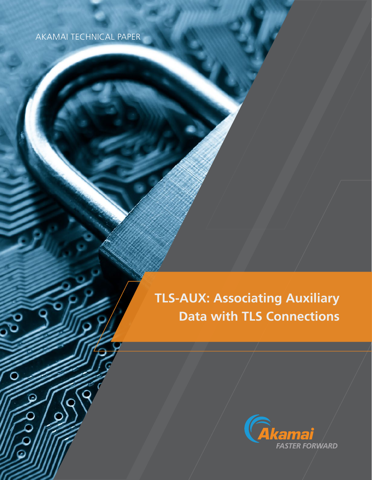## AKAMAI TECHNICAL PAPER

**PO** 

ര

# **TLS-AUX: Associating Auxiliary Data with TLS Connections**

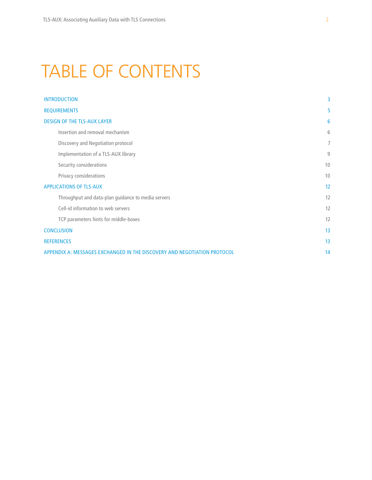# TABLE OF CONTENTS

| <b>INTRODUCTION</b>                                                      | 3  |
|--------------------------------------------------------------------------|----|
| <b>REQUIREMENTS</b>                                                      | 5  |
| <b>DESIGN OF THE TLS-AUX LAYER</b>                                       | 6  |
| Insertion and removal mechanism                                          | 6  |
| Discovery and Negotiation protocol                                       | 7  |
| Implementation of a TLS-AUX library                                      | 9  |
| Security considerations                                                  | 10 |
| Privacy considerations                                                   | 10 |
| <b>APPLICATIONS OF TLS-AUX</b>                                           | 12 |
| Throughput and data-plan guidance to media servers                       | 12 |
| Cell-id information to web servers                                       | 12 |
| TCP parameters hints for middle-boxes                                    | 12 |
| <b>CONCLUSION</b>                                                        | 13 |
| <b>REFERENCES</b>                                                        | 13 |
| APPENDIX A: MESSAGES EXCHANGED IN THE DISCOVERY AND NEGOTIATION PROTOCOL | 14 |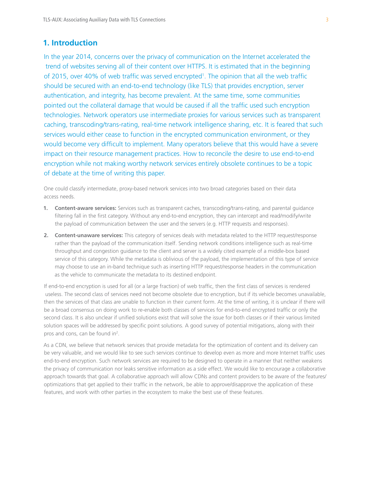## **1. Introduction**

In the year 2014, concerns over the privacy of communication on the Internet accelerated the trend of websites serving all of their content over HTTPS. It is estimated that in the beginning of 2015, over 40% of web traffic was served encrypted<sup>1</sup>. The opinion that all the web traffic should be secured with an end-to-end technology (like TLS) that provides encryption, server authentication, and integrity, has become prevalent. At the same time, some communities pointed out the collateral damage that would be caused if all the traffic used such encryption technologies. Network operators use intermediate proxies for various services such as transparent caching, transcoding/trans-rating, real-time network intelligence sharing, etc. It is feared that such services would either cease to function in the encrypted communication environment, or they would become very difficult to implement. Many operators believe that this would have a severe impact on their resource management practices. How to reconcile the desire to use end-to-end encryption while not making worthy network services entirely obsolete continues to be a topic of debate at the time of writing this paper.

One could classify intermediate, proxy-based network services into two broad categories based on their data access needs.

- **1. Content-aware services:** Services such as transparent caches, transcoding/trans-rating, and parental guidance filtering fall in the first category. Without any end-to-end encryption, they can intercept and read/modify/write the payload of communication between the user and the servers (e.g. HTTP requests and responses).
- **2. Content-unaware services:** This category of services deals with metadata related to the HTTP request/response rather than the payload of the communication itself. Sending network conditions intelligence such as real-time throughput and congestion guidance to the client and server is a widely cited example of a middle-box based service of this category. While the metadata is oblivious of the payload, the implementation of this type of service may choose to use an in-band technique such as inserting HTTP request/response headers in the communication as the vehicle to communicate the metadata to its destined endpoint.

If end-to-end encryption is used for all (or a large fraction) of web traffic, then the first class of services is rendered useless. The second class of services need not become obsolete due to encryption, but if its vehicle becomes unavailable, then the services of that class are unable to function in their current form. At the time of writing, it is unclear if there will be a broad consensus on doing work to re-enable both classes of services for end-to-end encrypted traffic or only the second class. It is also unclear if unified solutions exist that will solve the issue for both classes or if their various limited solution spaces will be addressed by specific point solutions. A good survey of potential mitigations, along with their pros and cons, can be found in<sup>2</sup>.

As a CDN, we believe that network services that provide metadata for the optimization of content and its delivery can be very valuable, and we would like to see such services continue to develop even as more and more Internet traffic uses end-to-end encryption. Such network services are required to be designed to operate in a manner that neither weakens the privacy of communication nor leaks sensitive information as a side effect. We would like to encourage a collaborative approach towards that goal. A collaborative approach will allow CDNs and content providers to be aware of the features/ optimizations that get applied to their traffic in the network, be able to approve/disapprove the application of these features, and work with other parties in the ecosystem to make the best use of these features.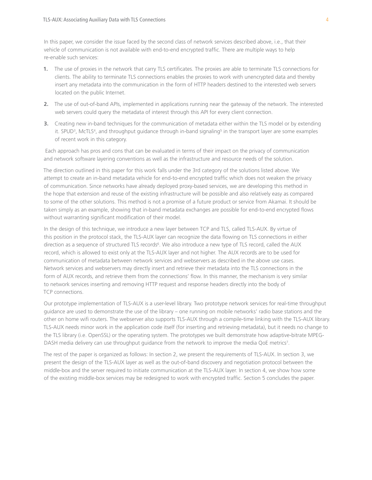In this paper, we consider the issue faced by the second class of network services described above, i.e., that their vehicle of communication is not available with end-to-end encrypted traffic. There are multiple ways to help re-enable such services:

- **1.** The use of proxies in the network that carry TLS certificates. The proxies are able to terminate TLS connections for clients. The ability to terminate TLS connections enables the proxies to work with unencrypted data and thereby insert any metadata into the communication in the form of HTTP headers destined to the interested web servers located on the public Internet.
- **2.** The use of out-of-band APIs, implemented in applications running near the gateway of the network. The interested web servers could query the metadata of interest through this API for every client connection.
- **3.** Creating new in-band techniques for the communication of metadata either within the TLS model or by extending it. SPUD<sup>3</sup>, McTLS<sup>4</sup>, and throughput guidance through in-band signaling<sup>5</sup> in the transport layer are some examples of recent work in this category.

 Each approach has pros and cons that can be evaluated in terms of their impact on the privacy of communication and network software layering conventions as well as the infrastructure and resource needs of the solution.

The direction outlined in this paper for this work falls under the 3rd category of the solutions listed above. We attempt to create an in-band metadata vehicle for end-to-end encrypted traffic which does not weaken the privacy of communication. Since networks have already deployed proxy-based services, we are developing this method in the hope that extension and reuse of the existing infrastructure will be possible and also relatively easy as compared to some of the other solutions. This method is not a promise of a future product or service from Akamai. It should be taken simply as an example, showing that in-band metadata exchanges are possible for end-to-end encrypted flows without warranting significant modification of their model.

In the design of this technique, we introduce a new layer between TCP and TLS, called TLS-AUX. By virtue of this position in the protocol stack, the TLS-AUX layer can recognize the data flowing on TLS connections in either direction as a sequence of structured TLS records<sup>6</sup>. We also introduce a new type of TLS record, called the AUX record, which is allowed to exist only at the TLS-AUX layer and not higher. The AUX records are to be used for communication of metadata between network services and webservers as described in the above use cases. Network services and webservers may directly insert and retrieve their metadata into the TLS connections in the form of AUX records, and retrieve them from the connections' flow. In this manner, the mechanism is very similar to network services inserting and removing HTTP request and response headers directly into the body of TCP connections.

Our prototype implementation of TLS-AUX is a user-level library. Two prototype network services for real-time throughput guidance are used to demonstrate the use of the library – one running on mobile networks' radio base stations and the other on home wifi routers. The webserver also supports TLS-AUX through a compile-time linking with the TLS-AUX library. TLS-AUX needs minor work in the application code itself (for inserting and retrieving metadata), but it needs no change to the TLS library (i.e. OpenSSL) or the operating system. The prototypes we built demonstrate how adaptive-bitrate MPEG-DASH media delivery can use throughput guidance from the network to improve the media QoE metrics<sup>7</sup>.

The rest of the paper is organized as follows: In section 2, we present the requirements of TLS-AUX. In section 3, we present the design of the TLS-AUX layer as well as the out-of-band discovery and negotiation protocol between the middle-box and the server required to initiate communication at the TLS-AUX layer. In section 4, we show how some of the existing middle-box services may be redesigned to work with encrypted traffic. Section 5 concludes the paper.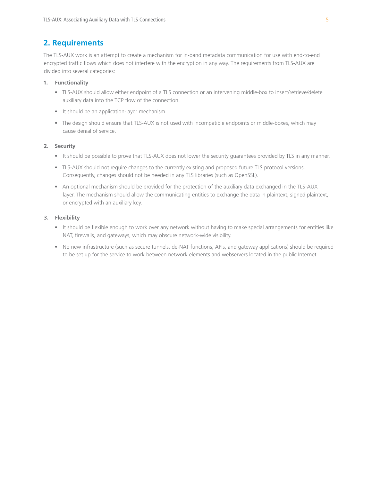## **2. Requirements**

The TLS-AUX work is an attempt to create a mechanism for in-band metadata communication for use with end-to-end encrypted traffic flows which does not interfere with the encryption in any way. The requirements from TLS-AUX are divided into several categories:

#### **1. Functionality**

- TLS-AUX should allow either endpoint of a TLS connection or an intervening middle-box to insert/retrieve/delete auxiliary data into the TCP flow of the connection.
- It should be an application-layer mechanism.
- The design should ensure that TLS-AUX is not used with incompatible endpoints or middle-boxes, which may cause denial of service.

#### **2. Security**

- It should be possible to prove that TLS-AUX does not lower the security guarantees provided by TLS in any manner.
- TLS-AUX should not require changes to the currently existing and proposed future TLS protocol versions. Consequently, changes should not be needed in any TLS libraries (such as OpenSSL).
- An optional mechanism should be provided for the protection of the auxiliary data exchanged in the TLS-AUX layer. The mechanism should allow the communicating entities to exchange the data in plaintext, signed plaintext, or encrypted with an auxiliary key.

#### **3. Flexibility**

- It should be flexible enough to work over any network without having to make special arrangements for entities like NAT, firewalls, and gateways, which may obscure network-wide visibility.
- No new infrastructure (such as secure tunnels, de-NAT functions, APIs, and gateway applications) should be required to be set up for the service to work between network elements and webservers located in the public Internet.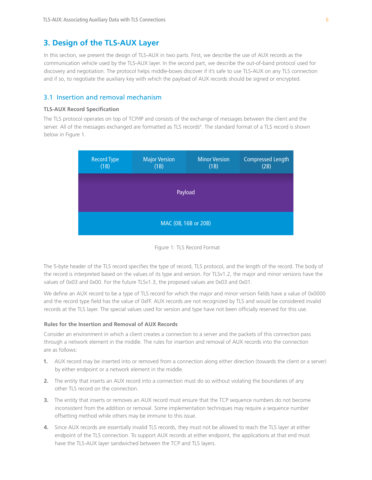## **3. Design of the TLS-AUX Layer**

In this section, we present the design of TLS-AUX in two parts. First, we describe the use of AUX records as the communication vehicle used by the TLS-AUX layer. In the second part, we describe the out-of-band protocol used for discovery and negotiation. The protocol helps middle-boxes discover if it's safe to use TLS-AUX on any TLS connection and if so, to negotiate the auxiliary key with which the payload of AUX records should be signed or encrypted.

## 3.1 Insertion and removal mechanism

#### **TLS-AUX Record Specification**

The TLS protocol operates on top of TCP/IP and consists of the exchange of messages between the client and the server. All of the messages exchanged are formatted as TLS records<sup>6</sup>. The standard format of a TLS record is shown below in Figure 1.





The 5-byte header of the TLS record specifies the type of record, TLS protocol, and the length of the record. The body of the record is interpreted based on the values of its type and version. For TLSv1.2, the major and minor versions have the values of 0x03 and 0x00. For the future TLSv1.3, the proposed values are 0x03 and 0x01.

We define an AUX record to be a type of TLS record for which the major and minor version fields have a value of 0x0000 and the record type field has the value of 0xFF. AUX records are not recognized by TLS and would be considered invalid records at the TLS layer. The special values used for version and type have not been officially reserved for this use.

#### **Rules for the Insertion and Removal of AUX Records**

Consider an environment in which a client creates a connection to a server and the packets of this connection pass through a network element in the middle. The rules for insertion and removal of AUX records into the connection are as follows:

- **1.** AUX record may be inserted into or removed from a connection along either direction (towards the client or a server) by either endpoint or a network element in the middle.
- **2.** The entity that inserts an AUX record into a connection must do so without violating the boundaries of any other TLS record on the connection.
- **3.** The entity that inserts or removes an AUX record must ensure that the TCP sequence numbers do not become inconsistent from the addition or removal. Some implementation techniques may require a sequence number offsetting method while others may be immune to this issue.
- **4.** Since AUX records are essentially invalid TLS records, they must not be allowed to reach the TLS layer at either endpoint of the TLS connection. To support AUX records at either endpoint, the applications at that end must have the TLS-AUX layer sandwiched between the TCP and TLS layers.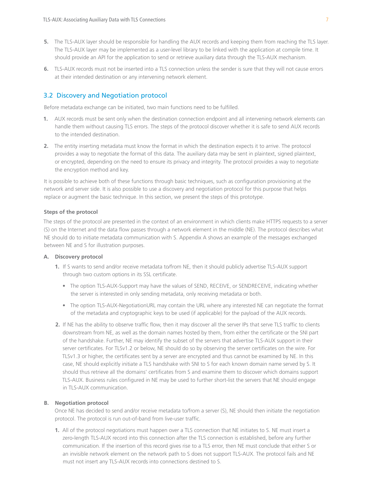- **5.** The TLS-AUX layer should be responsible for handling the AUX records and keeping them from reaching the TLS layer. The TLS-AUX layer may be implemented as a user-level library to be linked with the application at compile time. It should provide an API for the application to send or retrieve auxiliary data through the TLS-AUX mechanism.
- **6.** TLS-AUX records must not be inserted into a TLS connection unless the sender is sure that they will not cause errors at their intended destination or any intervening network element.

## 3.2 Discovery and Negotiation protocol

Before metadata exchange can be initiated, two main functions need to be fulfilled.

- **1.** AUX records must be sent only when the destination connection endpoint and all intervening network elements can handle them without causing TLS errors. The steps of the protocol discover whether it is safe to send AUX records to the intended destination.
- **2.** The entity inserting metadata must know the format in which the destination expects it to arrive. The protocol provides a way to negotiate the format of this data. The auxiliary data may be sent in plaintext, signed plaintext, or encrypted, depending on the need to ensure its privacy and integrity. The protocol provides a way to negotiate the encryption method and key.

It is possible to achieve both of these functions through basic techniques, such as configuration provisioning at the network and server side. It is also possible to use a discovery and negotiation protocol for this purpose that helps replace or augment the basic technique. In this section, we present the steps of this prototype.

#### **Steps of the protocol**

The steps of the protocol are presented in the context of an environment in which clients make HTTPS requests to a server (S) on the Internet and the data flow passes through a network element in the middle (NE). The protocol describes what NE should do to initiate metadata communication with S. Appendix A shows an example of the messages exchanged between NE and S for illustration purposes.

#### **A. Discovery protocol**

- **1.** If S wants to send and/or receive metadata to/from NE, then it should publicly advertise TLS-AUX support through two custom options in its SSL certificate.
	- The option TLS-AUX-Support may have the values of SEND, RECEIVE, or SENDRECEIVE, indicating whether the server is interested in only sending metadata, only receiving metadata or both.
	- The option TLS-AUX-NegotiationURL may contain the URL where any interested NE can negotiate the format of the metadata and cryptographic keys to be used (if applicable) for the payload of the AUX records.
- **2.** If NE has the ability to observe traffic flow, then it may discover all the server IPs that serve TLS traffic to clients downstream from NE, as well as the domain names hosted by them, from either the certificate or the SNI part of the handshake. Further, NE may identify the subset of the servers that advertise TLS-AUX support in their server certificates. For TLSv1.2 or below, NE should do so by observing the server certificates on the wire. For TLSv1.3 or higher, the certificates sent by a server are encrypted and thus cannot be examined by NE. In this case, NE should explicitly initiate a TLS handshake with SNI to S for each known domain name served by S. It should thus retrieve all the domains' certificates from S and examine them to discover which domains support TLS-AUX. Business rules configured in NE may be used to further short-list the servers that NE should engage in TLS-AUX communication.

#### **B. Negotiation protocol**

Once NE has decided to send and/or receive metadata to/from a server (S), NE should then initiate the negotiation protocol. The protocol is run out-of-band from live-user traffic.

**1.** All of the protocol negotiations must happen over a TLS connection that NE initiates to S. NE must insert a zero-length TLS-AUX record into this connection after the TLS connection is established, before any further communication. If the insertion of this record gives rise to a TLS error, then NE must conclude that either S or an invisible network element on the network path to S does not support TLS-AUX. The protocol fails and NE must not insert any TLS-AUX records into connections destined to S.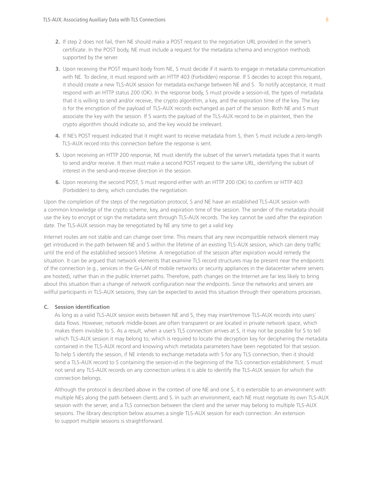- **2.** If step 2 does not fail, then NE should make a POST request to the negotiation URL provided in the server's certificate. In the POST body, NE must include a request for the metadata schema and encryption methods supported by the server.
- **3.** Upon receiving the POST request body from NE, S must decide if it wants to engage in metadata communication with NE. To decline, it must respond with an HTTP 403 (Forbidden) response. If S decides to accept this request, it should create a new TLS-AUX session for metadata exchange between NE and S. To notify acceptance, it must respond with an HTTP status 200 (OK). In the response body, S must provide a session-id, the types of metadata that it is willing to send and/or receive, the crypto algorithm, a key, and the expiration time of the key. The key is for the encryption of the payload of TLS-AUX records exchanged as part of the session. Both NE and S must associate the key with the session. If S wants the payload of the TLS-AUX record to be in plaintext, then the crypto algorithm should indicate so, and the key would be irrelevant.
- **4.** If NE's POST request indicated that it might want to receive metadata from S, then S must include a zero-length TLS-AUX record into this connection before the response is sent.
- **5.** Upon receiving an HTTP 200 response, NE must identify the subset of the server's metadata types that it wants to send and/or receive. It then must make a second POST request to the same URL, identifying the subset of interest in the send-and-receive direction in the session.
- **6.** Upon receiving the second POST, S must respond either with an HTTP 200 (OK) to confirm or HTTP 403 (Forbidden) to deny, which concludes the negotiation.

Upon the completion of the steps of the negotiation protocol, S and NE have an established TLS-AUX session with a common knowledge of the crypto scheme, key, and expiration time of the session. The sender of the metadata should use the key to encrypt or sign the metadata sent through TLS-AUX records. The key cannot be used after the expiration date. The TLS-AUX session may be renegotiated by NE any time to get a valid key.

Internet routes are not stable and can change over time. This means that any new incompatible network element may get introduced in the path between NE and S within the lifetime of an existing TLS-AUX session, which can deny traffic until the end of the established session's lifetime. A renegotiation of the session after expiration would remedy the situation. It can be argued that network elements that examine TLS record structures may be present near the endpoints of the connection (e.g., services in the Gi-LAN of mobile networks or security appliances in the datacenter where servers are hosted), rather than in the public Internet paths. Therefore, path changes on the Internet are far less likely to bring about this situation than a change of network configuration near the endpoints. Since the networks and servers are willful participants in TLS-AUX sessions, they can be expected to avoid this situation through their operations processes.

#### **C. Session identification**

As long as a valid TLS-AUX session exists between NE and S, they may insert/remove TLS-AUX records into users' data flows. However, network middle-boxes are often transparent or are located in private network space, which makes them invisible to S. As a result, when a user's TLS connection arrives at S, it may not be possible for S to tell which TLS-AUX session it may belong to, which is required to locate the decryption key for deciphering the metadata contained in the TLS-AUX record and knowing which metadata parameters have been negotiated for that session. To help S identify the session, if NE intends to exchange metadata with S for any TLS connection, then it should send a TLS-AUX record to S containing the session-id in the beginning of the TLS connection establishment. S must not send any TLS-AUX records on any connection unless it is able to identify the TLS-AUX session for which the connection belongs.

Although the protocol is described above in the context of one NE and one S, it is extensible to an environment with multiple NEs along the path between clients and S. In such an environment, each NE must negotiate its own TLS-AUX session with the server, and a TLS connection between the client and the server may belong to multiple TLS-AUX sessions. The library description below assumes a single TLS-AUX session for each connection. An extension to support multiple sessions is straightforward.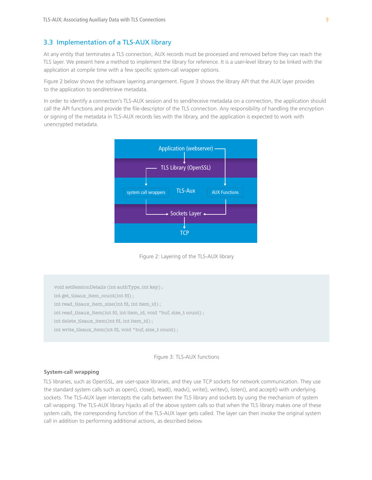## 3.3 Implementation of a TLS-AUX library

At any entity that terminates a TLS connection, AUX records must be processed and removed before they can reach the TLS layer. We present here a method to implement the library for reference. It is a user-level library to be linked with the application at compile time with a few specific system-call wrapper options.

Figure 2 below shows the software layering arrangement. Figure 3 shows the library API that the AUX layer provides to the application to send/retrieve metadata.

In order to identify a connection's TLS-AUX session and to send/receive metadata on a connection, the application should call the API functions and provide the file-descriptor of the TLS connection. Any responsibility of handling the encryption or signing of the metadata in TLS-AUX records lies with the library, and the application is expected to work with unencrypted metadata.



Figure 2: Layering of the TLS-AUX library

void setSessionDetails (int authType, int key) ; int get\_tlsaux\_item\_count(int fd) ; int read\_tlsaux\_item\_size(int fd, int item\_id) ; int read\_tlsaux\_item(int fd, int item\_id, void \*buf, size\_t count) ; int delete\_tlsaux\_item(int fd, int item\_id) ; int write\_tlsaux\_item(int fd, void \*buf, size\_t count) ;



#### **System-call wrapping**

TLS libraries, such as OpenSSL, are user-space libraries, and they use TCP sockets for network communication. They use the standard system calls such as open(), close(), read(), readv(), write(), writev(), listen(), and accept() with underlying sockets. The TLS-AUX layer intercepts the calls between the TLS library and sockets by using the mechanism of system call wrapping. The TLS-AUX library hijacks all of the above system calls so that when the TLS library makes one of these system calls, the corresponding function of the TLS-AUX layer gets called. The layer can then invoke the original system call in addition to performing additional actions, as described below.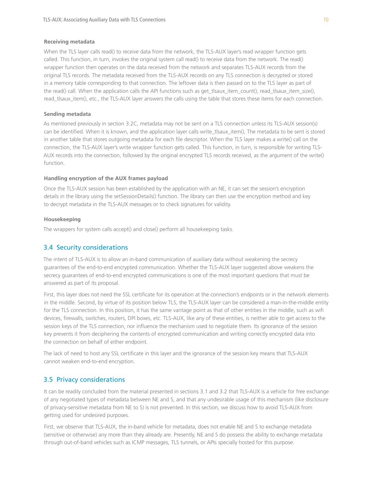#### **Receiving metadata**

When the TLS layer calls read() to receive data from the network, the TLS-AUX layer's read wrapper function gets called. This function, in turn, invokes the original system call read() to receive data from the network. The read() wrapper function then operates on the data received from the network and separates TLS-AUX records from the original TLS records. The metadata received from the TLS-AUX records on any TLS connection is decrypted or stored in a memory table corresponding to that connection. The leftover data is then passed on to the TLS layer as part of the read() call. When the application calls the API functions such as get\_tlsaux\_item\_count(), read\_tlsaux\_item\_size(), read\_tlsaux\_item(), etc., the TLS-AUX layer answers the calls using the table that stores these items for each connection.

#### **Sending metadata**

As mentioned previously in section 3.2C, metadata may not be sent on a TLS connection unless its TLS-AUX session(s) can be identified. When it is known, and the application layer calls write\_tlsaux\_item(), The metadata to be sent is stored in another table that stores outgoing metadata for each file descriptor. When the TLS layer makes a write() call on the connection, the TLS-AUX layer's write wrapper function gets called. This function, in turn, is responsible for writing TLS-AUX records into the connection, followed by the original encrypted TLS records received, as the argument of the write() function.

#### **Handling encryption of the AUX frames payload**

Once the TLS-AUX session has been established by the application with an NE, it can set the session's encryption details in the library using the setSessionDetails() function. The library can then use the encryption method and key to decrypt metadata in the TLS-AUX messages or to check signatures for validity.

#### **Housekeeping**

The wrappers for system calls accept() and close() perform all housekeeping tasks.

#### 3.4 Security considerations

The intent of TLS-AUX is to allow an in-band communication of auxiliary data without weakening the secrecy guarantees of the end-to-end encrypted communication. Whether the TLS-AUX layer suggested above weakens the secrecy guarantees of end-to-end encrypted communications is one of the most important questions that must be answered as part of its proposal.

First, this layer does not need the SSL certificate for its operation at the connection's endpoints or in the network elements in the middle. Second, by virtue of its position below TLS, the TLS-AUX layer can be considered a man-in-the-middle entity for the TLS connection. In this position, it has the same vantage point as that of other entities in the middle, such as wifi devices, firewalls, switches, routers, DPI boxes, etc. TLS-AUX, like any of these entities, is neither able to get access to the session keys of the TLS connection, nor influence the mechanism used to negotiate them. Its ignorance of the session key prevents it from deciphering the contents of encrypted communication and writing correctly encrypted data into the connection on behalf of either endpoint.

The lack of need to host any SSL certificate in this layer and the ignorance of the session key means that TLS-AUX cannot weaken end-to-end encryption.

## 3.5 Privacy considerations

It can be readily concluded from the material presented in sections 3.1 and 3.2 that TLS-AUX is a vehicle for free exchange of any negotiated types of metadata between NE and S, and that any undesirable usage of this mechanism (like disclosure of privacy-sensitive metadata from NE to S) is not prevented. In this section, we discuss how to avoid TLS-AUX from getting used for undesired purposes.

First, we observe that TLS-AUX, the in-band vehicle for metadata, does not enable NE and S to exchange metadata (sensitive or otherwise) any more than they already are. Presently, NE and S do possess the ability to exchange metadata through out-of-band vehicles such as ICMP messages, TLS tunnels, or APIs specially hosted for this purpose.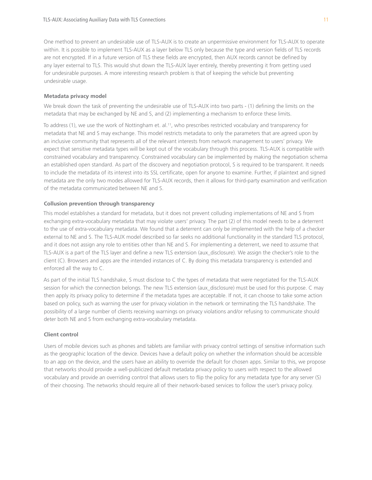One method to prevent an undesirable use of TLS-AUX is to create an unpermissive environment for TLS-AUX to operate within. It is possible to implement TLS-AUX as a layer below TLS only because the type and version fields of TLS records are not encrypted. If in a future version of TLS these fields are encrypted, then AUX records cannot be defined by any layer external to TLS. This would shut down the TLS-AUX layer entirely, thereby preventing it from getting used for undesirable purposes. A more interesting research problem is that of keeping the vehicle but preventing undesirable usage.

#### **Metadata privacy model**

We break down the task of preventing the undesirable use of TLS-AUX into two parts - (1) defining the limits on the metadata that may be exchanged by NE and S, and (2) implementing a mechanism to enforce these limits.

To address (1), we use the work of Nottingham et. al.<sup>11</sup>, who prescribes restricted vocabulary and transparency for metadata that NE and S may exchange. This model restricts metadata to only the parameters that are agreed upon by an inclusive community that represents all of the relevant interests from network management to users' privacy. We expect that sensitive metadata types will be kept out of the vocabulary through this process. TLS-AUX is compatible with constrained vocabulary and transparency. Constrained vocabulary can be implemented by making the negotiation schema an established open standard. As part of the discovery and negotiation protocol, S is required to be transparent. It needs to include the metadata of its interest into its SSL certificate, open for anyone to examine. Further, if plaintext and signed metadata are the only two modes allowed for TLS-AUX records, then it allows for third-party examination and verification of the metadata communicated between NE and S.

#### **Collusion prevention through transparency**

This model establishes a standard for metadata, but it does not prevent colluding implementations of NE and S from exchanging extra-vocabulary metadata that may violate users' privacy. The part (2) of this model needs to be a deterrent to the use of extra-vocabulary metadata. We found that a deterrent can only be implemented with the help of a checker external to NE and S. The TLS-AUX model described so far seeks no additional functionality in the standard TLS protocol, and it does not assign any role to entities other than NE and S. For implementing a deterrent, we need to assume that TLS-AUX is a part of the TLS layer and define a new TLS extension (aux\_disclosure). We assign the checker's role to the client (C). Browsers and apps are the intended instances of C. By doing this metadata transparency is extended and enforced all the way to C.

As part of the initial TLS handshake, S must disclose to C the types of metadata that were negotiated for the TLS-AUX session for which the connection belongs. The new TLS extension (aux disclosure) must be used for this purpose. C may then apply its privacy policy to determine if the metadata types are acceptable. If not, it can choose to take some action based on policy, such as warning the user for privacy violation in the network or terminating the TLS handshake. The possibility of a large number of clients receiving warnings on privacy violations and/or refusing to communicate should deter both NE and S from exchanging extra-vocabulary metadata.

#### **Client control**

Users of mobile devices such as phones and tablets are familiar with privacy control settings of sensitive information such as the geographic location of the device. Devices have a default policy on whether the information should be accessible to an app on the device, and the users have an ability to override the default for chosen apps. Similar to this, we propose that networks should provide a well-publicized default metadata privacy policy to users with respect to the allowed vocabulary and provide an overriding control that allows users to flip the policy for any metadata type for any server (S) of their choosing. The networks should require all of their network-based services to follow the user's privacy policy.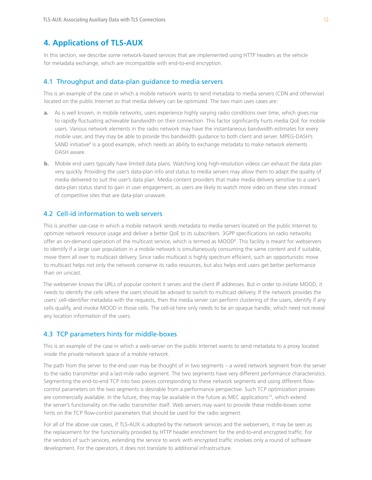## **4. Applications of TLS-AUX**

In this section, we describe some network-based services that are implemented using HTTP headers as the vehicle for metadata exchange, which are incompatible with end-to-end encryption.

#### 4.1 Throughput and data-plan guidance to media servers

This is an example of the case in which a mobile network wants to send metadata to media servers (CDN and otherwise) located on the public Internet so that media delivery can be optimized. The two main uses cases are:

- **a.** As is well known, in mobile networks, users experience highly varying radio conditions over time, which gives rise to rapidly fluctuating achievable bandwidth on their connection. This factor significantly hurts media QoE for mobile users. Various network elements in the radio network may have the instantaneous bandwidth estimates for every mobile user, and they may be able to provide this bandwidth guidance to both client and server. MPEG-DASH's SAND initiative<sup>9</sup> is a good example, which needs an ability to exchange metadata to make network elements DASH aware.
- **b.** Mobile end users typically have limited data plans. Watching long high-resolution videos can exhaust the data plan very quickly. Providing the user's data-plan info and status to media servers may allow them to adapt the quality of media delivered to suit the user's data plan. Media content providers that make media delivery sensitive to a user's data-plan status stand to gain in user engagement, as users are likely to watch more video on these sites instead of competitive sites that are data-plan unaware.

## 4.2 Cell-id information to web servers

This is another use-case in which a mobile network sends metadata to media servers located on the public Internet to optimize network resource usage and deliver a better QoE to its subscribers. 3GPP specifications on radio networks offer an on-demand operation of the multicast service, which is termed as MOOD<sup>8</sup>. This facility is meant for webservers to identify if a large user population in a mobile network is simultaneously consuming the same content and if suitable, move them all over to multicast delivery. Since radio multicast is highly spectrum efficient, such an opportunistic move to multicast helps not only the network conserve its radio resources, but also helps end users get better performance than on unicast.

The webserver knows the URLs of popular content it serves and the client IP addresses. But in order to initiate MOOD, it needs to identify the cells where the users should be advised to switch to multicast delivery. If the network provides the users' cell-identifier metadata with the requests, then the media server can perform clustering of the users, identify if any cells qualify, and invoke MOOD in those cells. The cell-id here only needs to be an opaque handle, which need not reveal any location information of the users.

#### 4.3 TCP parameters hints for middle-boxes

This is an example of the case in which a web-server on the public Internet wants to send metadata to a proxy located inside the private network space of a mobile network.

The path from the server to the end user may be thought of in two segments – a wired network segment from the server to the radio transmitter and a last-mile radio segment. The two segments have very different performance characteristics. Segmenting the end-to-end TCP into two pieces corresponding to these network segments and using different flowcontrol parameters on the two segments is desirable from a performance perspective. Such TCP optimization proxies are commercially available. In the future, they may be available in the future as MEC applications<sup>10</sup>, which extend the server's functionality on the radio transmitter itself. Web servers may want to provide these middle-boxes some hints on the TCP flow-control parameters that should be used for the radio segment.

For all of the above use cases, if TLS-AUX is adopted by the network services and the webservers, it may be seen as the replacement for the functionality provided by HTTP header enrichment for the end-to-end encrypted traffic. For the vendors of such services, extending the service to work with encrypted traffic involves only a round of software development. For the operators, it does not translate to additional infrastructure.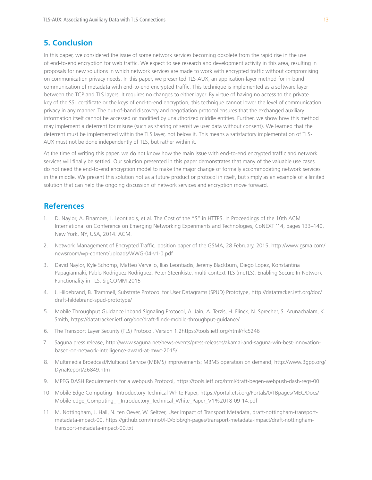## **5. Conclusion**

In this paper, we considered the issue of some network services becoming obsolete from the rapid rise in the use of end-to-end encryption for web traffic. We expect to see research and development activity in this area, resulting in proposals for new solutions in which network services are made to work with encrypted traffic without compromising on communication privacy needs. In this paper, we presented TLS-AUX, an application-layer method for in-band communication of metadata with end-to-end encrypted traffic. This technique is implemented as a software layer between the TCP and TLS layers. It requires no changes to either layer. By virtue of having no access to the private key of the SSL certificate or the keys of end-to-end encryption, this technique cannot lower the level of communication privacy in any manner. The out-of-band discovery and negotiation protocol ensures that the exchanged auxiliary information itself cannot be accessed or modified by unauthorized middle entities. Further, we show how this method may implement a deterrent for misuse (such as sharing of sensitive user data without consent). We learned that the deterrent must be implemented within the TLS layer, not below it. This means a satisfactory implementation of TLS-AUX must not be done independently of TLS, but rather within it.

At the time of writing this paper, we do not know how the main issue with end-to-end encrypted traffic and network services will finally be settled. Our solution presented in this paper demonstrates that many of the valuable use cases do not need the end-to-end encryption model to make the major change of formally accommodating network services in the middle. We present this solution not as a future product or protocol in itself, but simply as an example of a limited solution that can help the ongoing discussion of network services and encryption move forward.

## **References**

- 1. D. Naylor, A. Finamore, I. Leontiadis, et al. The Cost of the "S" in HTTPS. In Proceedings of the 10th ACM International on Conference on Emerging Networking Experiments and Technologies, CoNEXT '14, pages 133–140, New York, NY, USA, 2014. ACM.
- 2. Network Management of Encrypted Traffic, position paper of the GSMA, 28 February, 2015, http://www.gsma.com/ newsroom/wp-content/uploads/WWG-04-v1-0.pdf
- 3. David Naylor, Kyle Schomp, Matteo Varvello, Ilias Leontiadis, Jeremy Blackburn, Diego Lopez, Konstantina Papagiannaki, Pablo Rodriguez Rodriguez, Peter Steenkiste, multi-context TLS (mcTLS): Enabling Secure In-Network Functionality in TLS, SigCOMM 2015
- 4. J. Hildebrand, B. Trammell, Substrate Protocol for User Datagrams (SPUD) Prototype, http://datatracker.ietf.org/doc/ draft-hildebrand-spud-prototype/
- 5. Mobile Throughput Guidance Inband Signaling Protocol, A. Jain, A. Terzis, H. Flinck, N. Sprecher, S. Arunachalam, K. Smith, https://datatracker.ietf.org/doc/draft-flinck-mobile-throughput-guidance/
- 6. The Transport Layer Security (TLS) Protocol, Version 1.2https://tools.ietf.org/html/rfc5246
- 7. Saguna press release, http://www.saguna.net/news-events/press-releases/akamai-and-saguna-win-best-innovationbased-on-network-intelligence-award-at-mwc-2015/
- 8. Multimedia Broadcast/Multicast Service (MBMS) improvements; MBMS operation on demand, http://www.3gpp.org/ DynaReport/26849.htm
- 9. MPEG DASH Requirements for a webpush Protocol, https://tools.ietf.org/html/draft-begen-webpush-dash-reqs-00
- 10. Mobile Edge Computing Introductory Technical White Paper, https://portal.etsi.org/Portals/0/TBpages/MEC/Docs/ Mobile-edge\_Computing\_-\_Introductory\_Technical\_White\_Paper\_V1%2018-09-14.pdf
- 11. M. Nottingham, J. Hall, N. ten Oever, W. Seltzer, User Impact of Transport Metadata, draft-nottingham-transportmetadata-impact-00, https://github.com/mnot/I-D/blob/gh-pages/transport-metadata-impact/draft-nottinghamtransport-metadata-impact-00.txt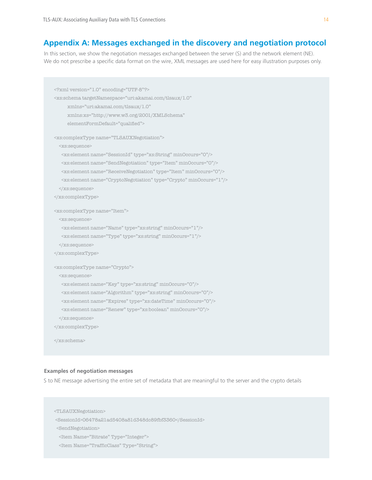## **Appendix A: Messages exchanged in the discovery and negotiation protocol**

In this section, we show the negotiation messages exchanged between the server (S) and the network element (NE). We do not prescribe a specific data format on the wire, XML messages are used here for easy illustration purposes only.

```
<?xml version="1.0" encoding="UTF-8"?>
<xs:schema targetNamespace="uri:akamai.com/tlsaux/1.0" 
      xmlns="uri:akamai.com/tlsaux/1.0" 
      xmlns:xs="http://www.w3.org/2001/XMLSchema"
      elementFormDefault="qualified"> 
<xs:complexType name="TLSAUXNegotiation">
  <xs:sequence>
   <xs:element name="SessionId" type="xs:String" minOccurs="0"/>
   <xs:element name="SendNegotiation" type="Item" minOccurs="0"/>
   <xs:element name="ReceiveNegotiation" type="Item" minOccurs="0"/>
   <xs:element name="CryptoNegotiation" type="Crypto" minOccurs="1"/>
   </xs:sequence>
</xs:complexType>
<xs:complexType name="Item">
  <xs:sequence>
   <xs:element name="Name" type="xs:string" minOccurs="1"/>
   <xs:element name="Type" type="xs:string" minOccurs="1"/>
   </xs:sequence>
</xs:complexType>
<xs:complexType name="Crypto">
  <xs:sequence>
   <xs:element name="Key" type="xs:string" minOccurs="0"/>
   <xs:element name="Algorithm" type="xs:string" minOccurs="0"/>
   <xs:element name="Expires" type="xs:dateTime" minOccurs="0"/>
   <xs:element name="Renew" type="xs:boolean" minOccurs="0"/>
   </xs:sequence>
</xs:complexType>
</xs:schema>
```
#### **Examples of negotiation messages**

S to NE message advertising the entire set of metadata that are meaningful to the server and the crypto details

```
<TLSAUXNegotiation>
 <SessionId>06478a21ad5408a81d348dc89fbf3360</SessionId>
 <SendNegotiation>
  <Item Name="Bitrate" Type="Integer">
  <Item Name="TrafficClass" Type="String">
```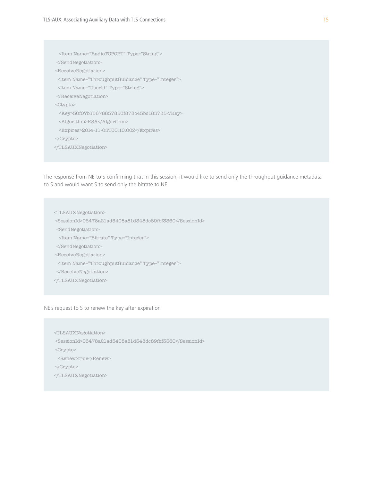<Item Name="RadioTCPOPT" Type="String"> </SendNegotiation> <ReceiveNegotiation> <Item Name="ThroughputGuidance" Type="Integer"> <Item Name="Userid" Type="String">  $<$ /ReceiveNegotiation> <Ctypto> <Key>30f07b15678837856f878c43bc183735</Key> <Algorithm>RSA</Algorithm> <Expires>2014-11-05T00:10:00Z</Expires> </Crypto> </TLSAUXNegotiation>

The response from NE to S confirming that in this session, it would like to send only the throughput guidance metadata to S and would want S to send only the bitrate to NE.

<TLSAUXNegotiation>

<SessionId>06478a21ad5408a81d348dc89fbf3360</SessionId>

<SendNegotiation>

<Item Name="Bitrate" Type="Integer">

</SendNegotiation>

 $<\!\!{\rm ReceiveNegotiation}\!\!>$ 

<Item Name="ThroughputGuidance" Type="Integer">

</ReceiveNegotiation>

</TLSAUXNegotiation>

NE's request to S to renew the key after expiration

<TLSAUXNegotiation>

<SessionId>06478a21ad5408a81d348dc89fbf3360</SessionId>

<Crypto>

<Renew>true</Renew>

</Crypto>

</TLSAUXNegotiation>